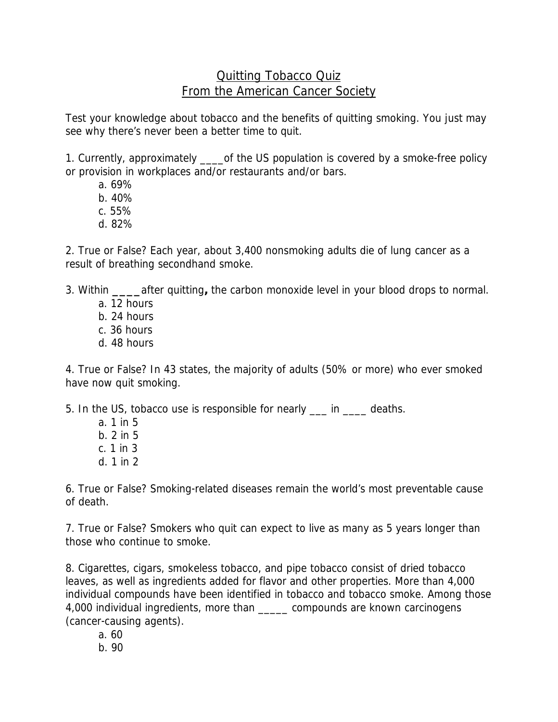## Quitting Tobacco Quiz From the American Cancer Society

Test your knowledge about tobacco and the benefits of quitting smoking. You just may see why there's never been a better time to quit.

1. Currently, approximately \_\_\_\_\_of the US population is covered by a smoke-free policy or provision in workplaces and/or restaurants and/or bars.

- a. 69%
- b. 40%
- c. 55%
- d. 82%

2. True or False? Each year, about 3,400 nonsmoking adults die of lung cancer as a result of breathing secondhand smoke.

3. Within **\_\_\_\_**after quitting**,** the carbon monoxide level in your blood drops to normal.

- a. 12 hours
- b. 24 hours
- c. 36 hours
- d. 48 hours

4. True or False? In 43 states, the majority of adults (50% or more) who ever smoked have now quit smoking.

5. In the US, tobacco use is responsible for nearly \_\_\_ in \_\_\_\_ deaths.

a. 1 in 5 b. 2 in 5 c. 1 in 3 d. 1 in 2

6. True or False? Smoking-related diseases remain the world's most preventable cause of death.

7. True or False? Smokers who quit can expect to live as many as 5 years longer than those who continue to smoke.

8. Cigarettes, cigars, smokeless tobacco, and pipe tobacco consist of dried tobacco leaves, as well as ingredients added for flavor and other properties. More than 4,000 individual compounds have been identified in tobacco and tobacco smoke. Among those 4,000 individual ingredients, more than \_\_\_\_\_ compounds are known carcinogens (cancer-causing agents).

a. 60

b. 90